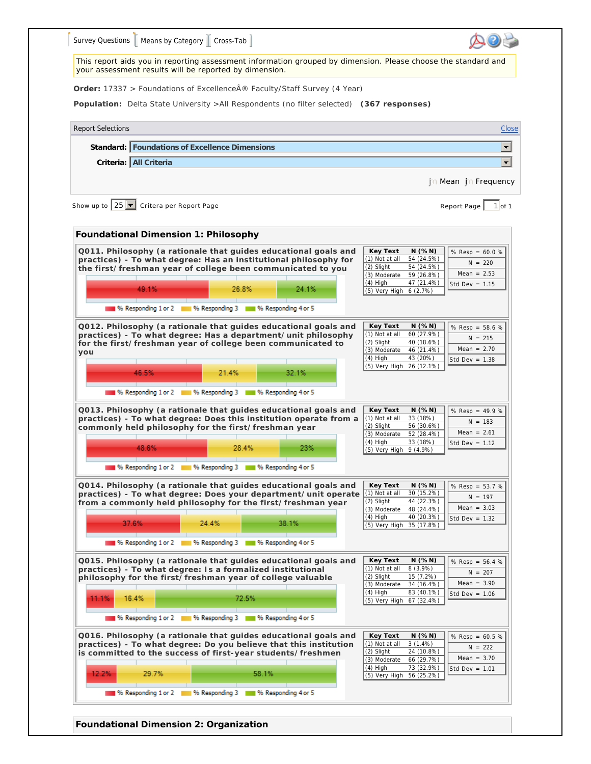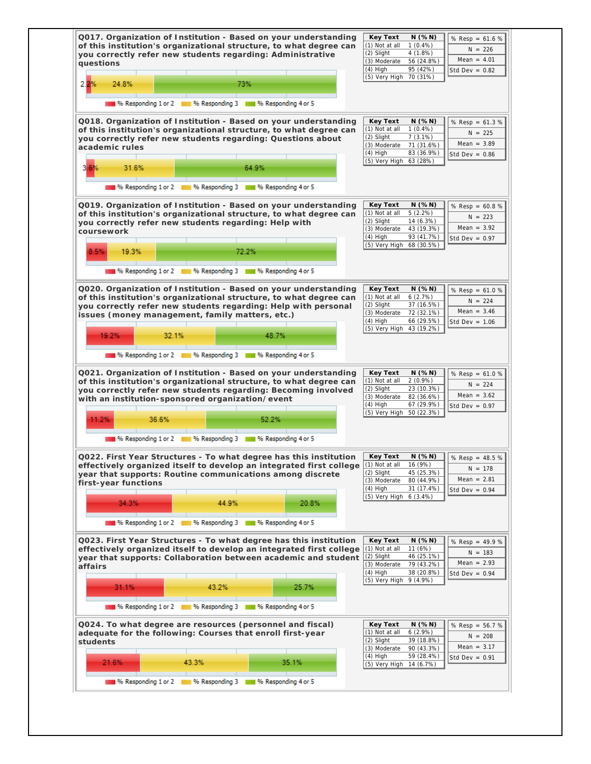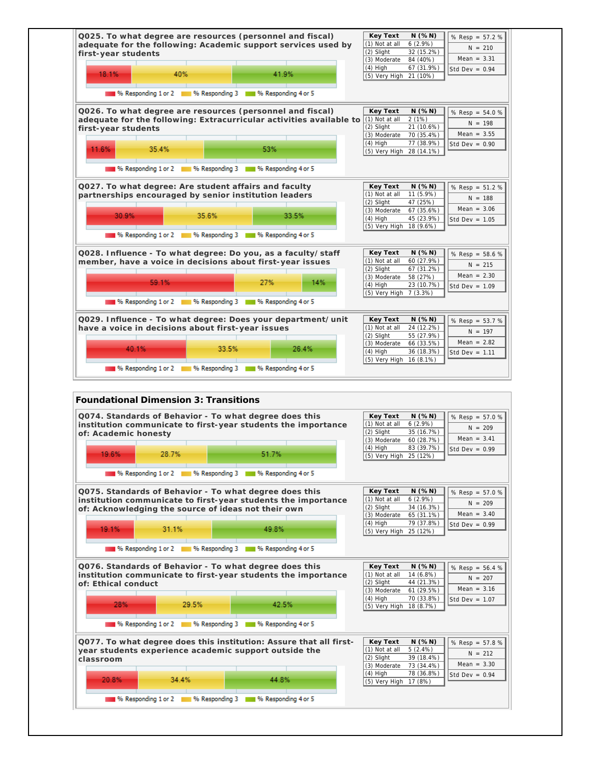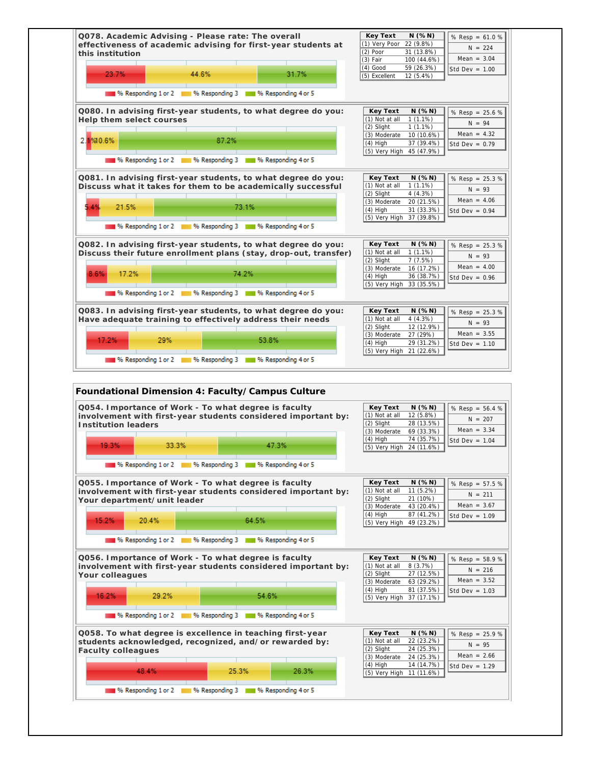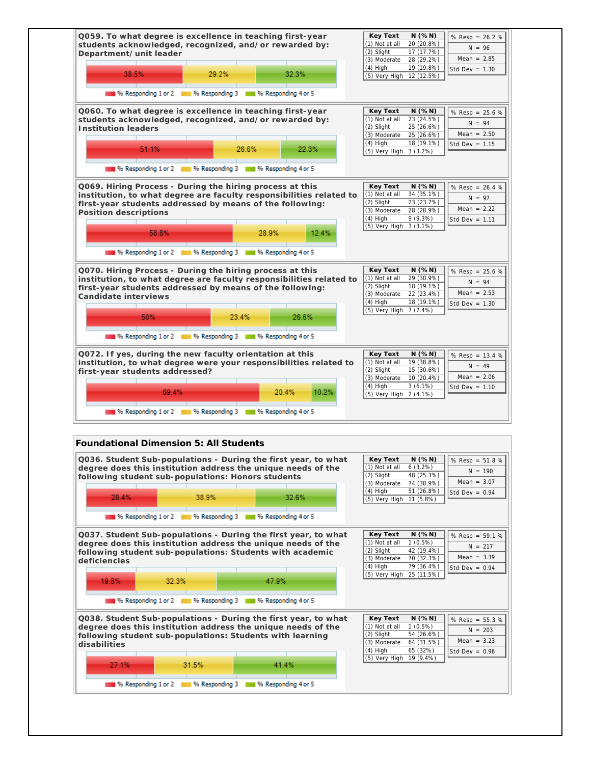

196 Responding 1 or 2 1 1 1 % Responding 3 1 1 1 % Responding 4 or 5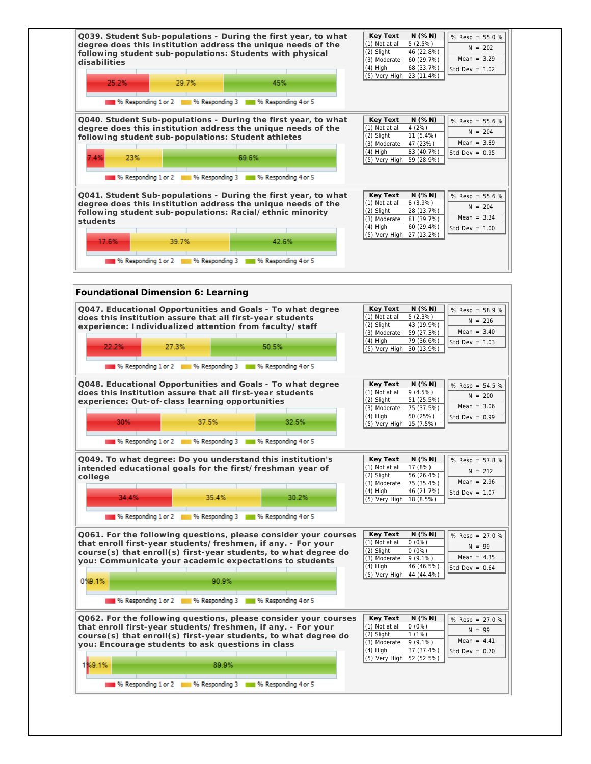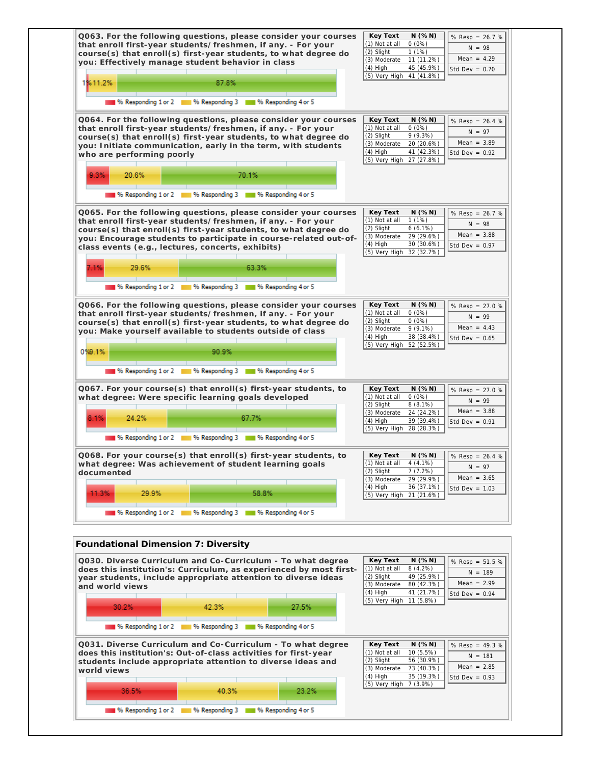

| Q030. Diverse Curriculum and Co-Curriculum - To what degree<br>does this institution's: Curriculum, as experienced by most first-<br>year students, include appropriate attention to diverse ideas<br>and world views |                                                                                                                |       | Key Text<br>(1) Not at all<br>(2) Slight<br>(3) Moderate<br>$(4)$ High | $N$ (% $N$ )<br>$8(4.2\%)$<br>49 (25.9%)<br>80 (42.3%)<br>41 (21.7%) | % Resp = $51.5%$<br>$N = 189$<br>Mean = $2.99$<br>Std Dev = $0.94$ |
|-----------------------------------------------------------------------------------------------------------------------------------------------------------------------------------------------------------------------|----------------------------------------------------------------------------------------------------------------|-------|------------------------------------------------------------------------|----------------------------------------------------------------------|--------------------------------------------------------------------|
| 30.2%                                                                                                                                                                                                                 | 42.3%                                                                                                          | 27.5% | (5) Very High 11 (5.8%)                                                |                                                                      |                                                                    |
|                                                                                                                                                                                                                       | 96 Responding 1 or 2 16 96 Responding 3 16 96 Responding 4 or 5                                                |       |                                                                        |                                                                      |                                                                    |
| Q031. Diverse Curriculum and Co-Curriculum - To what degree<br>does this institution's: Out-of-class activities for first-year<br>students include appropriate attention to diverse ideas and<br>world views          |                                                                                                                |       | Key Text<br>(1) Not at all<br>(2) Slight<br>(3) Moderate<br>$(4)$ High | N(%N)<br>10 (5.5%)<br>56 (30.9%)<br>73 (40.3%)<br>35 (19.3%)         | % Resp = $49.3%$<br>$N = 181$<br>Mean = $2.85$<br>Std Dev = $0.93$ |
| 36.5%                                                                                                                                                                                                                 | 40.3%                                                                                                          | 23.2% | (5) Very High 7 (3.9%)                                                 |                                                                      |                                                                    |
|                                                                                                                                                                                                                       | 196 Responding 1 or 2 11 11 12 12 13 14 15 16 17 18 19 19 10 11 11 12 13 14 15 16 17 18 19 19 10 11 11 11 11 1 |       |                                                                        |                                                                      |                                                                    |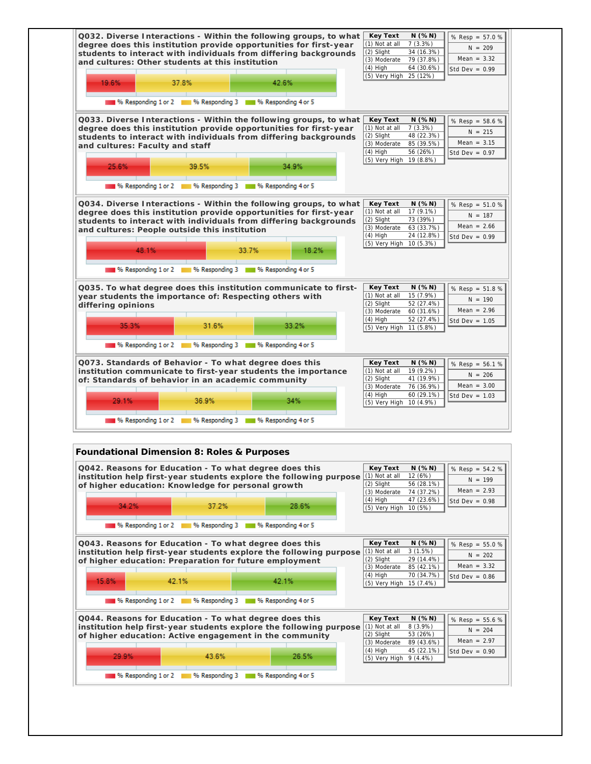| and cultures: Other students at this institution |                                                        |          |                                                                                                                                                                                                                     | $(4)$ High<br>(5) Very High 25 (12%)                                                                            | 64 (30.6%)                                                        | Std Dev = $0.99$                                                    |
|--------------------------------------------------|--------------------------------------------------------|----------|---------------------------------------------------------------------------------------------------------------------------------------------------------------------------------------------------------------------|-----------------------------------------------------------------------------------------------------------------|-------------------------------------------------------------------|---------------------------------------------------------------------|
| 19.6%                                            | 37.8%                                                  |          | 42.6%                                                                                                                                                                                                               |                                                                                                                 |                                                                   |                                                                     |
|                                                  |                                                        |          | <sup>96</sup> Responding 1 or 2 18 % Responding 3 18 % Responding 4 or 5                                                                                                                                            |                                                                                                                 |                                                                   |                                                                     |
| 25.6%                                            | and cultures: Faculty and staff<br>39.5%               |          | Q033. Diverse Interactions - Within the following groups, to what<br>degree does this institution provide opportunities for first-year<br>students to interact with individuals from differing backgrounds<br>34.9% | Key Text<br>$(1)$ Not at all<br>(2) Slight<br>(3) Moderate<br>$(4)$ High<br>(5) Very High 19 (8.8%)             | $N$ (% $N$ )<br>7(3.3%)<br>48 (22.3%)<br>85 (39.5%)<br>56 (26%)   | % $Resp = 58.6 %$<br>$N = 215$<br>Mean = $3.15$<br>Std Dev = $0.97$ |
|                                                  |                                                        | ________ | % Responding 1 or 2 % Responding 3 % Responding 4 or 5                                                                                                                                                              |                                                                                                                 |                                                                   |                                                                     |
|                                                  |                                                        |          | Q034. Diverse Interactions - Within the following groups, to what                                                                                                                                                   | Key Text                                                                                                        | $N$ (% $N$ )                                                      | % $Resp = 51.0 %$                                                   |
|                                                  | and cultures: People outside this institution<br>48.1% |          | degree does this institution provide opportunities for first-year<br>students to interact with individuals from differing backgrounds<br>33.7%<br>18.2%                                                             | $(1)$ Not at all 17 $(9.1\%)$<br>(2) Slight<br>(3) Moderate 63 (33.7%)<br>$(4)$ High<br>(5) Very High 10 (5.3%) | 73 (39%)<br>24 (12.8%)                                            | $N = 187$<br>Mean = $2.66$<br>Std Dev = $0.99$                      |
|                                                  |                                                        |          | 16 Responding 1 or 2 16 Responding 3 16 Responding 4 or 5                                                                                                                                                           |                                                                                                                 |                                                                   |                                                                     |
| differing opinions<br>35.3%                      |                                                        | 31.6%    | Q035. To what degree does this institution communicate to first-<br>year students the importance of: Respecting others with<br>33.2%                                                                                | Key Text<br>$(1)$ Not at all<br>$(2)$ Slight<br>(3) Moderate<br>$(4)$ High<br>(5) Very High 11 (5.8%)           | $N$ (% $N$ )<br>15(7.9%)<br>52 (27.4%)<br>60 (31.6%)<br>52(27.4%) | % Resp = 51.8 %<br>$N = 190$<br>Mean = $2.96$<br>Std Dev = $1.05$   |
|                                                  |                                                        |          | 16 Responding 1 or 2 11 % Responding 3 11 % Responding 4 or 5                                                                                                                                                       |                                                                                                                 |                                                                   |                                                                     |

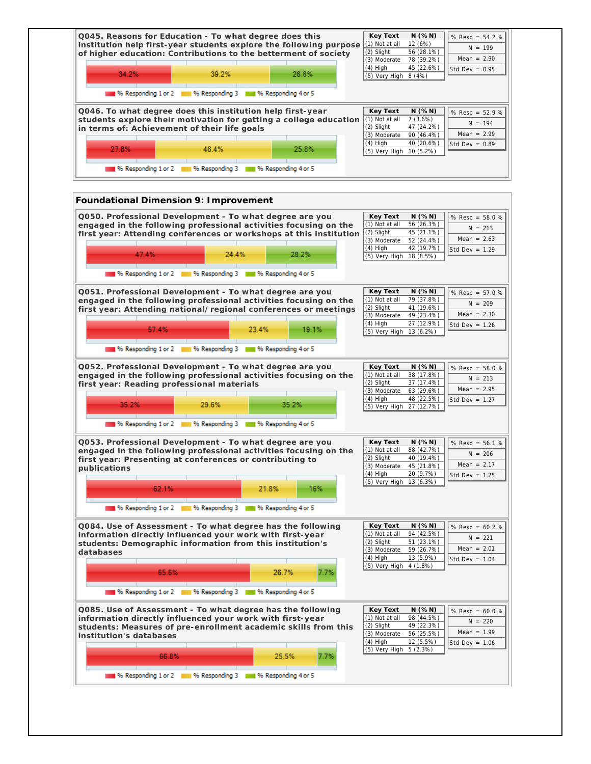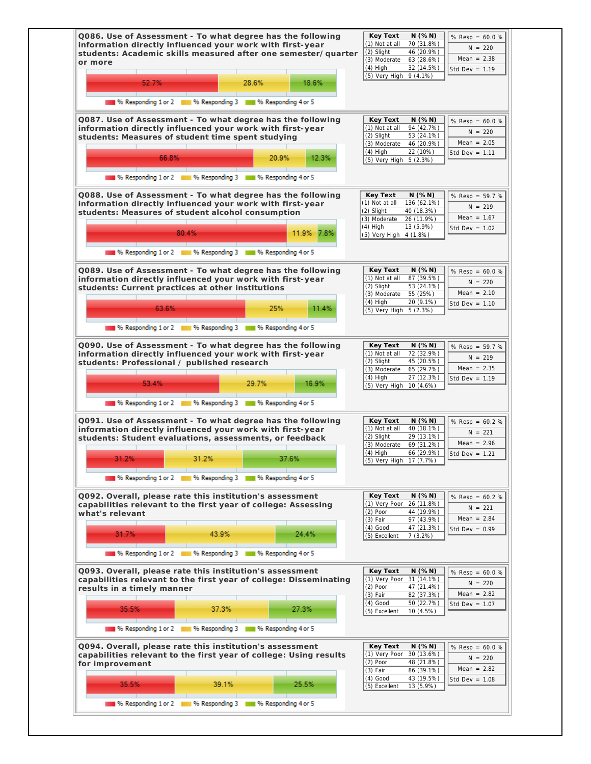| students: Academic skills measured after one semester/quarter<br>or more                                                                                                                                                                                                  | (2) Slight<br>46 (20.9%)<br>Mean = $2.38$<br>(3) Moderate<br>63 (28.6%)<br>$(4)$ High<br>32 (14.5%)<br>Std Dev = $1.19$                                                                                                                      |
|---------------------------------------------------------------------------------------------------------------------------------------------------------------------------------------------------------------------------------------------------------------------------|----------------------------------------------------------------------------------------------------------------------------------------------------------------------------------------------------------------------------------------------|
| 52.7%<br>28.6%<br>18.6%                                                                                                                                                                                                                                                   | (5) Very High 9 (4.1%)                                                                                                                                                                                                                       |
| % Responding 1 or 2 4 10 % Responding 3 4 10 % Responding 4 or 5                                                                                                                                                                                                          |                                                                                                                                                                                                                                              |
| Q087. Use of Assessment - To what degree has the following<br>information directly influenced your work with first-year<br>students: Measures of student time spent studying                                                                                              | Key Text<br>$N$ (%N)<br>% Resp = $60.0%$<br>(1) Not at all<br>94 (42.7%)<br>$N = 220$<br>53 (24.1%)<br>(2) Slight<br>Mean = $2.05$<br>(3) Moderate<br>46 (20.9%)                                                                             |
| 66.8%<br>20.9%<br>12.3%                                                                                                                                                                                                                                                   | $(4)$ High<br>22 (10%)<br>Std Dev = $1.11$<br>(5) Very High 5 (2.3%)                                                                                                                                                                         |
| 196 Responding 1 or 2 11 96 Responding 3 11 96 Responding 4 or 5                                                                                                                                                                                                          |                                                                                                                                                                                                                                              |
| Q088. Use of Assessment - To what degree has the following<br>information directly influenced your work with first-year<br>students: Measures of student alcohol consumption                                                                                              | Key Text<br>N( % N)<br>% Resp = 59.7 %<br>(1) Not at all<br>136 (62.1%)<br>$N = 219$<br>(2) Slight<br>40 (18.3%)<br>Mean = $1.67$<br>(3) Moderate<br>26 (11.9%)                                                                              |
| 80.4%<br>11.9% 7.8%                                                                                                                                                                                                                                                       | $(4)$ High<br>13 (5.9%)<br>Std Dev = $1.02$<br>(5) Very High 4 (1.8%)                                                                                                                                                                        |
| 96 Responding 1 or 2 96 Responding 3 96 Responding 4 or 5                                                                                                                                                                                                                 |                                                                                                                                                                                                                                              |
| Q089. Use of Assessment - To what degree has the following<br>information directly influenced your work with first-year<br>students: Current practices at other institutions<br>25%<br>63.6%<br>11.4%<br>196 Responding 1 or 2 11 96 Responding 3 11 96 Responding 4 or 5 | $N$ (% $N$ )<br>Key Text<br>% $Resp = 60.0 %$<br>(1) Not at all<br>87 (39.5%)<br>$N = 220$<br>(2) Slight<br>53 (24.1%)<br>$Mean = 2.10$<br>(3) Moderate<br>55 (25%)<br>$(4)$ High<br>20 (9.1%)<br>Std Dev = $1.10$<br>(5) Very High 5 (2.3%) |
|                                                                                                                                                                                                                                                                           |                                                                                                                                                                                                                                              |
| Q090. Use of Assessment - To what degree has the following<br>information directly influenced your work with first-year<br>students: Professional / published research                                                                                                    | N(%N)<br>Key Text<br>% Resp = 59.7 %<br>(1) Not at all<br>72 (32.9%)<br>$N = 219$<br>(2) Slight<br>45 (20.5%)<br>Mean = $2.35$<br>(3) Moderate<br>65 (29.7%)<br>$(4)$ High<br>27 (12.3%)<br>Std Dev = $1.19$                                 |
| 53.4%<br>29.7%<br>16.9%                                                                                                                                                                                                                                                   | (5) Very High 10 (4.6%)                                                                                                                                                                                                                      |
| % Responding 1 or 2 1 % Responding 3 1 % Responding 4 or 5                                                                                                                                                                                                                |                                                                                                                                                                                                                                              |
| Q091. Use of Assessment - To what degree has the following<br>information directly influenced your work with first-year<br>students: Student evaluations, assessments, or feedback                                                                                        | N(%N)<br>Key Text<br>% $Resp = 60.2 %$<br>(1) Not at all<br>40 (18.1%)<br>$N = 221$<br>(2) Slight<br>29 (13.1%)<br>Mean = $2.96$<br>(3) Moderate<br>69 (31.2%)<br>$(4)$ High<br>66 (29.9%)                                                   |
| 31.2%<br>31.2%<br>37.6%                                                                                                                                                                                                                                                   | Std Dev = $1.21$<br> (5) Very High 17 (7.7%)                                                                                                                                                                                                 |
| % Responding 1 or 2 1 % Responding 3 1 % Responding 4 or 5                                                                                                                                                                                                                |                                                                                                                                                                                                                                              |
| Q092. Overall, please rate this institution's assessment<br>capabilities relevant to the first year of college: Assessing<br>what's relevant<br>31.7%<br>43.9%<br>24.4%                                                                                                   | Key Text<br>N( % N)<br>% $Resp = 60.2 %$<br>(1) Very Poor<br>26 (11.8%)<br>$N = 221$<br>$(2)$ Poor<br>44 (19.9%)<br>Mean = $2.84$<br>$(3)$ Fair<br>97 (43.9%)<br>$(4)$ Good<br>47 (21.3%)<br>Std Dev = $0.99$                                |
| <b>1999 % Responding 1 or 2 18 Million</b> % Responding 3 18 Million % Responding 4 or 5                                                                                                                                                                                  | 7(3.2%)<br>(5) Excellent                                                                                                                                                                                                                     |
|                                                                                                                                                                                                                                                                           |                                                                                                                                                                                                                                              |
| Q093. Overall, please rate this institution's assessment<br>capabilities relevant to the first year of college: Disseminating<br>results in a timely manner                                                                                                               | Key Text<br>$N$ (%N)<br>% Resp = $60.0 %$<br>(1) Very Poor 31 (14.1%)<br>$N = 220$<br>$(2)$ Poor<br>47 (21.4%)<br>Mean = $2.82$<br>$(3)$ Fair<br>82 (37.3%)<br>$(4)$ Good<br>50 (22.7%)<br>Std Dev = $1.07$                                  |
|                                                                                                                                                                                                                                                                           | 10 (4.5%)<br>(5) Excellent                                                                                                                                                                                                                   |
| 35.5%<br>37.3%<br>27.3%                                                                                                                                                                                                                                                   |                                                                                                                                                                                                                                              |
| % Responding 1 or 2 18 % Responding 3 18 % Responding 4 or 5                                                                                                                                                                                                              |                                                                                                                                                                                                                                              |
| Q094. Overall, please rate this institution's assessment<br>capabilities relevant to the first year of college: Using results<br>for improvement<br>35.5%<br>39.1%                                                                                                        | Key Text<br>N( % N)<br>% $Resp = 60.0 %$<br>(1) Very Poor<br>30 (13.6%)<br>$N = 220$<br>$(2)$ Poor<br>48 (21.8%)<br>Mean = $2.82$<br>$(3)$ Fair<br>86 (39.1%)<br>$(4)$ Good<br>43 (19.5%)<br>Std Dev = $1.08$                                |